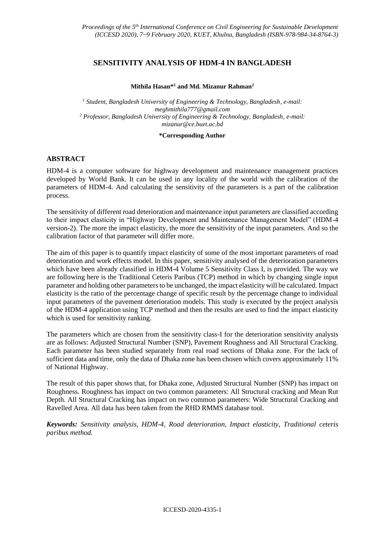# **SENSITIVITY ANALYSIS OF HDM-4 IN BANGLADESH**

#### **Mithila Hasan\* <sup>1</sup> and Md. Mizanur Rahman<sup>2</sup>**

<sup>1</sup> Student, Bangladesh University of Engineering & Technology, Bangladesh, e-mail: *meghmithila777@gmail.com <sup>2</sup> Professor, Bangladesh University of Engineering & Technology, Bangladesh, e-mail: [mizanur@ce.buet.ac.bd](mailto:mizanur@ce.buet.ac.bd)*

#### **\*Corresponding Author**

### **ABSTRACT**

HDM-4 is a computer software for highway development and maintenance management practices developed by World Bank. It can be used in any locality of the world with the calibration of the parameters of HDM-4. And calculating the sensitivity of the parameters is a part of the calibration process.

The sensitivity of different road deterioration and maintenance input parameters are classified according to their impact elasticity in "Highway Development and Maintenance Management Model" (HDM-4 version-2). The more the impact elasticity, the more the sensitivity of the input parameters. And so the calibration factor of that parameter will differ more.

The aim of this paper is to quantify impact elasticity of some of the most important parameters of road deterioration and work effects model. In this paper, sensitivity analysed of the deterioration parameters which have been already classified in HDM-4 Volume 5 Sensitivity Class I, is provided. The way we are following here is the Traditional Ceteris Paribus (TCP) method in which by changing single input parameter and holding other parameters to be unchanged, the impact elasticity will be calculated. Impact elasticity is the ratio of the percentage change of specific result by the percentage change to individual input parameters of the pavement deterioration models. This study is executed by the project analysis of the HDM-4 application using TCP method and then the results are used to find the impact elasticity which is used for sensitivity ranking.

The parameters which are chosen from the sensitivity class-I for the deterioration sensitivity analysis are as follows: Adjusted Structural Number (SNP), Pavement Roughness and All Structural Cracking. Each parameter has been studied separately from real road sections of Dhaka zone. For the lack of sufficient data and time, only the data of Dhaka zone has been chosen which covers approximately 11% of National Highway.

The result of this paper shows that, for Dhaka zone, Adjusted Structural Number (SNP) has impact on Roughness. Roughness has impact on two common parameters: All Structural cracking and Mean Rut Depth. All Structural Cracking has impact on two common parameters: Wide Structural Cracking and Ravelled Area. All data has been taken from the RHD RMMS database tool.

*Keywords: Sensitivity analysis, HDM-4, Road deterioration, Impact elasticity, Traditional ceteris paribus method.*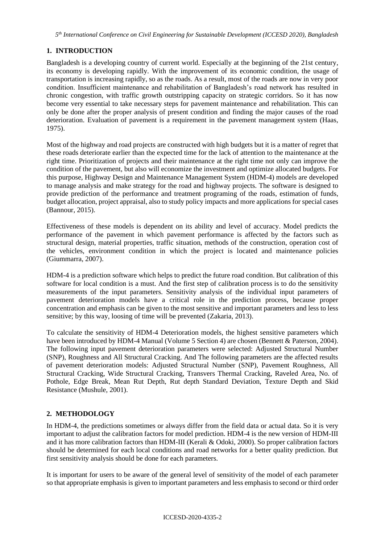*5 th International Conference on Civil Engineering for Sustainable Development (ICCESD 2020), Bangladesh*

# **1. INTRODUCTION**

Bangladesh is a developing country of current world. Especially at the beginning of the 21st century, its economy is developing rapidly. With the improvement of its economic condition, the usage of transportation is increasing rapidly, so as the roads. As a result, most of the roads are now in very poor condition. Insufficient maintenance and rehabilitation of Bangladesh's road network has resulted in chronic congestion, with traffic growth outstripping capacity on strategic corridors. So it has now become very essential to take necessary steps for pavement maintenance and rehabilitation. This can only be done after the proper analysis of present condition and finding the major causes of the road deterioration. Evaluation of pavement is a requirement in the pavement management system (Haas, 1975).

Most of the highway and road projects are constructed with high budgets but it is a matter of regret that these roads deteriorate earlier than the expected time for the lack of attention to the maintenance at the right time. Prioritization of projects and their maintenance at the right time not only can improve the condition of the pavement, but also will economize the investment and optimize allocated budgets. For this purpose, Highway Design and Maintenance Management System (HDM-4) models are developed to manage analysis and make strategy for the road and highway projects. The software is designed to provide prediction of the performance and treatment programing of the roads, estimation of funds, budget allocation, project appraisal, also to study policy impacts and more applications for special cases (Bannour, 2015).

Effectiveness of these models is dependent on its ability and level of accuracy. Model predicts the performance of the pavement in which pavement performance is affected by the factors such as structural design, material properties, traffic situation, methods of the construction, operation cost of the vehicles, environment condition in which the project is located and maintenance policies (Giummarra, 2007).

HDM-4 is a prediction software which helps to predict the future road condition. But calibration of this software for local condition is a must. And the first step of calibration process is to do the sensitivity measurements of the input parameters. Sensitivity analysis of the individual input parameters of pavement deterioration models have a critical role in the prediction process, because proper concentration and emphasis can be given to the most sensitive and important parameters and less to less sensitive; by this way, loosing of time will be prevented (Zakaria, 2013).

To calculate the sensitivity of HDM-4 Deterioration models, the highest sensitive parameters which have been introduced by HDM-4 Manual (Volume 5 Section 4) are chosen (Bennett & Paterson, 2004). The following input pavement deterioration parameters were selected: Adjusted Structural Number (SNP), Roughness and All Structural Cracking. And The following parameters are the affected results of pavement deterioration models: Adjusted Structural Number (SNP), Pavement Roughness, All Structural Cracking, Wide Structural Cracking, Transvers Thermal Cracking, Raveled Area, No. of Pothole, Edge Break, Mean Rut Depth, Rut depth Standard Deviation, Texture Depth and Skid Resistance (Mushule, 2001).

## **2. METHODOLOGY**

In HDM-4, the predictions sometimes or always differ from the field data or actual data. So it is very important to adjust the calibration factors for model prediction. HDM-4 is the new version of HDM-III and it has more calibration factors than HDM-III (Kerali & Odoki, 2000). So proper calibration factors should be determined for each local conditions and road networks for a better quality prediction. But first sensitivity analysis should be done for each parameters.

It is important for users to be aware of the general level of sensitivity of the model of each parameter so that appropriate emphasis is given to important parameters and less emphasis to second or third order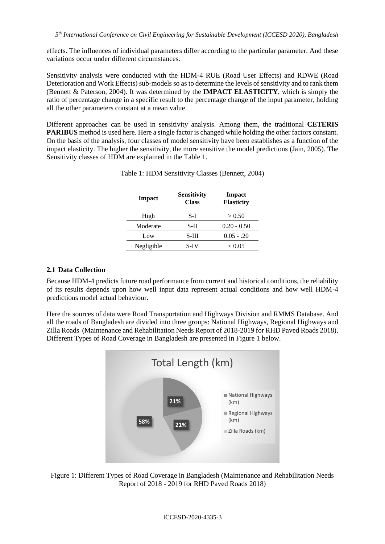effects. The influences of individual parameters differ according to the particular parameter. And these variations occur under different circumstances.

Sensitivity analysis were conducted with the HDM-4 RUE (Road User Effects) and RDWE (Road Deterioration and Work Effects) sub-models so as to determine the levels of sensitivity and to rank them (Bennett & Paterson, 2004). It was determined by the **IMPACT ELASTICITY**, which is simply the ratio of percentage change in a specific result to the percentage change of the input parameter, holding all the other parameters constant at a mean value.

Different approaches can be used in sensitivity analysis. Among them, the traditional **CETERIS PARIBUS** method is used here. Here a single factor is changed while holding the other factors constant. On the basis of the analysis, four classes of model sensitivity have been establishes as a function of the impact elasticity. The higher the sensitivity, the more sensitive the model predictions (Jain, 2005). The Sensitivity classes of HDM are explained in the Table 1.

| Impact     | <b>Sensitivity</b><br><b>Class</b> | Impact<br><b>Elasticity</b> |
|------------|------------------------------------|-----------------------------|
| High       | S-I                                | > 0.50                      |
| Moderate   | S-II                               | $0.20 - 0.50$               |
| Low        | S-HI                               | $0.05 - 0.20$               |
| Negligible | S-IV                               | ${}_{< 0.05}$               |

| Table 1: HDM Sensitivity Classes (Bennett, 2004) |  |  |
|--------------------------------------------------|--|--|
|--------------------------------------------------|--|--|

# **2.1 Data Collection**

Because HDM-4 predicts future road performance from current and historical conditions, the reliability of its results depends upon how well input data represent actual conditions and how well HDM-4 predictions model actual behaviour.

Here the sources of data were Road Transportation and Highways Division and RMMS Database. And all the roads of Bangladesh are divided into three groups: National Highways, Regional Highways and Zilla Roads (Maintenance and Rehabilitation Needs Report of 2018-2019 for RHD Paved Roads 2018). Different Types of Road Coverage in Bangladesh are presented in Figure 1 below.



Figure 1: Different Types of Road Coverage in Bangladesh (Maintenance and Rehabilitation Needs Report of 2018 - 2019 for RHD Paved Roads 2018)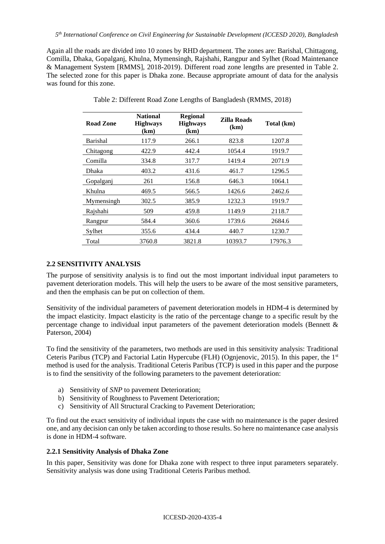Again all the roads are divided into 10 zones by RHD department. The zones are: Barishal, Chittagong, Comilla, Dhaka, Gopalganj, Khulna, Mymensingh, Rajshahi, Rangpur and Sylhet (Road Maintenance & Management System [RMMS], 2018-2019). Different road zone lengths are presented in Table 2. The selected zone for this paper is Dhaka zone. Because appropriate amount of data for the analysis was found for this zone.

| Road Zone       | <b>National</b><br><b>Highways</b><br>(km) | <b>Regional</b><br><b>Highways</b><br>(km) | Zilla Roads<br>(km) | Total (km) |
|-----------------|--------------------------------------------|--------------------------------------------|---------------------|------------|
| <b>Barishal</b> | 117.9                                      | 266.1                                      | 823.8               | 1207.8     |
| Chitagong       | 422.9                                      | 442.4                                      | 1054.4              | 1919.7     |
| Comilla         | 334.8                                      | 317.7                                      | 1419.4              | 2071.9     |
| Dhaka           | 403.2                                      | 431.6                                      | 461.7               | 1296.5     |
| Gopalganj       | 261                                        | 156.8                                      | 646.3               | 1064.1     |
| Khulna          | 469.5                                      | 566.5                                      | 1426.6              | 2462.6     |
| Mymensingh      | 302.5                                      | 385.9                                      | 1232.3              | 1919.7     |
| Rajshahi        | 509                                        | 459.8                                      | 1149.9              | 2118.7     |
| Rangpur         | 584.4                                      | 360.6                                      | 1739.6              | 2684.6     |
| Sylhet          | 355.6                                      | 434.4                                      | 440.7               | 1230.7     |
| Total           | 3760.8                                     | 3821.8                                     | 10393.7             | 17976.3    |

Table 2: Different Road Zone Lengths of Bangladesh (RMMS, 2018)

## **2.2 SENSITIVITY ANALYSIS**

The purpose of sensitivity analysis is to find out the most important individual input parameters to pavement deterioration models. This will help the users to be aware of the most sensitive parameters, and then the emphasis can be put on collection of them.

Sensitivity of the individual parameters of pavement deterioration models in HDM-4 is determined by the impact elasticity. Impact elasticity is the ratio of the percentage change to a specific result by the percentage change to individual input parameters of the pavement deterioration models (Bennett & Paterson, 2004)

To find the sensitivity of the parameters, two methods are used in this sensitivity analysis: Traditional Ceteris Paribus (TCP) and Factorial Latin Hypercube (FLH) (Ognjenovic, 2015). In this paper, the 1<sup>st</sup> method is used for the analysis. Traditional Ceteris Paribus (TCP) is used in this paper and the purpose is to find the sensitivity of the following parameters to the pavement deterioration:

- a) Sensitivity of *SNP* to pavement Deterioration;
- b) Sensitivity of Roughness to Pavement Deterioration;
- c) Sensitivity of All Structural Cracking to Pavement Deterioration;

To find out the exact sensitivity of individual inputs the case with no maintenance is the paper desired one, and any decision can only be taken according to those results. So here no maintenance case analysis is done in HDM-4 software.

### **2.2.1 Sensitivity Analysis of Dhaka Zone**

In this paper, Sensitivity was done for Dhaka zone with respect to three input parameters separately. Sensitivity analysis was done using Traditional Ceteris Paribus method.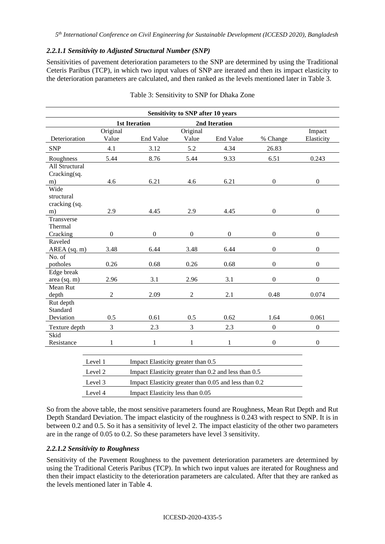### *2.2.1.1 Sensitivity to Adjusted Structural Number (SNP)*

Sensitivities of pavement deterioration parameters to the SNP are determined by using the Traditional Ceteris Paribus (TCP), in which two input values of SNP are iterated and then its impact elasticity to the deterioration parameters are calculated, and then ranked as the levels mentioned later in Table 3.

| <b>Sensitivity to SNP after 10 years</b>  |                   |                      |                   |               |                  |                      |  |  |
|-------------------------------------------|-------------------|----------------------|-------------------|---------------|------------------|----------------------|--|--|
|                                           |                   | <b>1st Iteration</b> |                   | 2nd Iteration |                  |                      |  |  |
| Deterioration                             | Original<br>Value | <b>End Value</b>     | Original<br>Value | End Value     | % Change         | Impact<br>Elasticity |  |  |
| <b>SNP</b>                                | 4.1               | 3.12                 | 5.2               | 4.34          | 26.83            |                      |  |  |
| Roughness                                 | 5.44              | 8.76                 | 5.44              | 9.33          | 6.51             | 0.243                |  |  |
| All Structural<br>Cracking(sq.<br>m)      | 4.6               | 6.21                 | 4.6               | 6.21          | $\boldsymbol{0}$ | $\overline{0}$       |  |  |
| Wide<br>structural<br>cracking (sq.<br>m) | 2.9               | 4.45                 | 2.9               | 4.45          | $\overline{0}$   | $\overline{0}$       |  |  |
| Transverse<br>Thermal<br>Cracking         | $\boldsymbol{0}$  | $\mathbf{0}$         | $\overline{0}$    | $\mathbf{0}$  | $\boldsymbol{0}$ | $\overline{0}$       |  |  |
| Raveled<br>AREA (sq. m)                   | 3.48              | 6.44                 | 3.48              | 6.44          | $\boldsymbol{0}$ | $\boldsymbol{0}$     |  |  |
| No. of<br>potholes                        | 0.26              | 0.68                 | 0.26              | 0.68          | $\boldsymbol{0}$ | $\overline{0}$       |  |  |
| Edge break<br>area (sq. m)                | 2.96              | 3.1                  | 2.96              | 3.1           | $\mathbf{0}$     | $\Omega$             |  |  |
| Mean Rut<br>depth                         | $\overline{2}$    | 2.09                 | $\overline{2}$    | 2.1           | 0.48             | 0.074                |  |  |
| Rut depth<br>Standard<br>Deviation        | 0.5               | 0.61                 | 0.5               | 0.62          | 1.64             | 0.061                |  |  |
| Texture depth                             | 3                 | 2.3                  | 3                 | 2.3           | $\boldsymbol{0}$ | $\boldsymbol{0}$     |  |  |
| Skid<br>Resistance                        | 1                 | 1                    | 1                 | 1             | $\boldsymbol{0}$ | $\Omega$             |  |  |

| Table 3: Sensitivity to SNP for Dhaka Zone |  |  |  |  |
|--------------------------------------------|--|--|--|--|
|                                            |  |  |  |  |

| Level 1 | Impact Elasticity greater than 0.5                    |
|---------|-------------------------------------------------------|
| Level 2 | Impact Elasticity greater than 0.2 and less than 0.5  |
| Level 3 | Impact Elasticity greater than 0.05 and less than 0.2 |
| Level 4 | Impact Elasticity less than 0.05                      |
|         |                                                       |

So from the above table, the most sensitive parameters found are Roughness, Mean Rut Depth and Rut Depth Standard Deviation. The impact elasticity of the roughness is 0.243 with respect to SNP. It is in between 0.2 and 0.5. So it has a sensitivity of level 2. The impact elasticity of the other two parameters are in the range of 0.05 to 0.2. So these parameters have level 3 sensitivity.

## *2.2.1.2 Sensitivity to Roughness*

Sensitivity of the Pavement Roughness to the pavement deterioration parameters are determined by using the Traditional Ceteris Paribus (TCP). In which two input values are iterated for Roughness and then their impact elasticity to the deterioration parameters are calculated. After that they are ranked as the levels mentioned later in Table 4.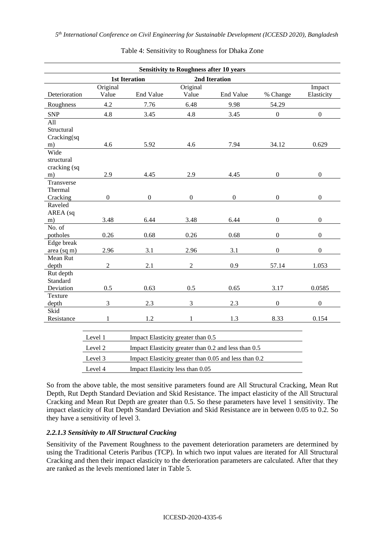| <b>Sensitivity to Roughness after 10 years</b> |                |                                    |                  |                  |                  |                  |
|------------------------------------------------|----------------|------------------------------------|------------------|------------------|------------------|------------------|
|                                                |                | <b>1st Iteration</b>               |                  | 2nd Iteration    |                  |                  |
|                                                | Original       |                                    | Original         |                  |                  | Impact           |
| Deterioration                                  | Value          | End Value                          | Value            | End Value        | % Change         | Elasticity       |
| Roughness                                      | 4.2            | 7.76                               | 6.48             | 9.98             | 54.29            |                  |
| <b>SNP</b>                                     | 4.8            | 3.45                               | 4.8              | 3.45             | $\overline{0}$   | $\boldsymbol{0}$ |
| All<br>Structural<br>Cracking(sq               |                |                                    |                  |                  |                  |                  |
| m)                                             | 4.6            | 5.92                               | 4.6              | 7.94             | 34.12            | 0.629            |
| Wide<br>structural<br>cracking (sq             |                |                                    |                  |                  |                  |                  |
| m)                                             | 2.9            | 4.45                               | 2.9              | 4.45             | $\boldsymbol{0}$ | $\boldsymbol{0}$ |
| Transverse<br>Thermal<br>Cracking              | $\overline{0}$ | $\boldsymbol{0}$                   | $\boldsymbol{0}$ | $\boldsymbol{0}$ | $\boldsymbol{0}$ | $\boldsymbol{0}$ |
| Raveled                                        |                |                                    |                  |                  |                  |                  |
| AREA (sq                                       |                |                                    |                  |                  |                  |                  |
| m)                                             | 3.48           | 6.44                               | 3.48             | 6.44             | $\mathbf{0}$     | $\boldsymbol{0}$ |
| No. of<br>potholes                             | 0.26           | 0.68                               | 0.26             | 0.68             | $\boldsymbol{0}$ | $\boldsymbol{0}$ |
| Edge break                                     |                |                                    |                  |                  |                  |                  |
| area (sq m)                                    | 2.96           | 3.1                                | 2.96             | 3.1              | $\boldsymbol{0}$ | $\mathbf{0}$     |
| Mean Rut                                       |                |                                    |                  |                  |                  |                  |
| depth                                          | $\sqrt{2}$     | 2.1                                | $\boldsymbol{2}$ | 0.9              | 57.14            | 1.053            |
| Rut depth<br>Standard                          |                |                                    |                  |                  |                  |                  |
| Deviation                                      | 0.5            | 0.63                               | 0.5              | 0.65             | 3.17             | 0.0585           |
| Texture                                        |                |                                    |                  |                  |                  |                  |
| depth<br>Skid                                  | 3              | 2.3                                | 3                | 2.3              | $\boldsymbol{0}$ | $\mathbf{0}$     |
| Resistance                                     | $\mathbf{1}$   | 1.2                                | 1                | 1.3              | 8.33             | 0.154            |
|                                                |                |                                    |                  |                  |                  |                  |
|                                                | Level 1        | Impact Elasticity greater than 0.5 |                  |                  |                  |                  |

Table 4: Sensitivity to Roughness for Dhaka Zone

| Level 1 | Impact Elasticity greater than 0.5                    |
|---------|-------------------------------------------------------|
| Level 2 | Impact Elasticity greater than 0.2 and less than 0.5  |
| Level 3 | Impact Elasticity greater than 0.05 and less than 0.2 |
| Level 4 | Impact Elasticity less than 0.05                      |

So from the above table, the most sensitive parameters found are All Structural Cracking, Mean Rut Depth, Rut Depth Standard Deviation and Skid Resistance. The impact elasticity of the All Structural Cracking and Mean Rut Depth are greater than 0.5. So these parameters have level 1 sensitivity. The impact elasticity of Rut Depth Standard Deviation and Skid Resistance are in between 0.05 to 0.2. So they have a sensitivity of level 3.

### *2.2.1.3 Sensitivity to All Structural Cracking*

Sensitivity of the Pavement Roughness to the pavement deterioration parameters are determined by using the Traditional Ceteris Paribus (TCP). In which two input values are iterated for All Structural Cracking and then their impact elasticity to the deterioration parameters are calculated. After that they are ranked as the levels mentioned later in Table 5.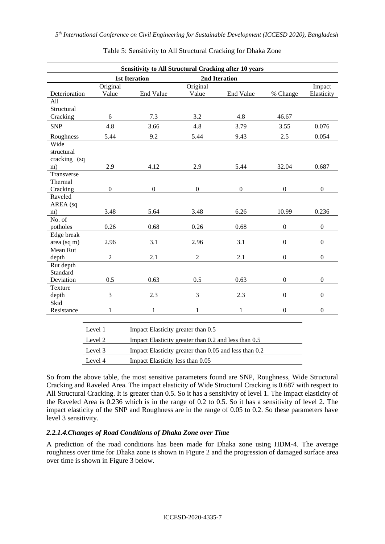|                                          |                                                                  | <b>Sensitivity to All Structural Cracking after 10 years</b> |                   |                  |                  |                      |
|------------------------------------------|------------------------------------------------------------------|--------------------------------------------------------------|-------------------|------------------|------------------|----------------------|
|                                          |                                                                  | <b>1st Iteration</b><br>2nd Iteration                        |                   |                  |                  |                      |
| Deterioration                            | Original<br>Value                                                | End Value                                                    | Original<br>Value | End Value        | % Change         | Impact<br>Elasticity |
| All                                      |                                                                  |                                                              |                   |                  |                  |                      |
| Structural                               |                                                                  |                                                              |                   |                  |                  |                      |
| Cracking                                 | 6                                                                | 7.3                                                          | 3.2               | 4.8              | 46.67            |                      |
| <b>SNP</b>                               | 4.8                                                              | 3.66                                                         | 4.8               | 3.79             | 3.55             | 0.076                |
| Roughness                                | 5.44                                                             | 9.2                                                          | 5.44              | 9.43             | 2.5              | 0.054                |
| Wide<br>structural<br>cracking (sq<br>m) | 2.9                                                              | 4.12                                                         | 2.9               | 5.44             | 32.04            | 0.687                |
| Transverse<br>Thermal<br>Cracking        | $\boldsymbol{0}$                                                 | $\boldsymbol{0}$                                             | $\boldsymbol{0}$  | $\boldsymbol{0}$ | $\boldsymbol{0}$ | $\boldsymbol{0}$     |
| Raveled                                  |                                                                  |                                                              |                   |                  |                  |                      |
| AREA (sq                                 |                                                                  |                                                              |                   |                  |                  |                      |
| m)                                       | 3.48                                                             | 5.64                                                         | 3.48              | 6.26             | 10.99            | 0.236                |
| No. of<br>potholes                       | 0.26                                                             | 0.68                                                         | 0.26              | 0.68             | $\boldsymbol{0}$ | $\boldsymbol{0}$     |
| Edge break                               |                                                                  |                                                              |                   |                  |                  |                      |
| area (sq m)                              | 2.96                                                             | 3.1                                                          | 2.96              | 3.1              | $\mathbf{0}$     | $\boldsymbol{0}$     |
| Mean Rut                                 |                                                                  |                                                              |                   |                  |                  |                      |
| depth                                    | $\sqrt{2}$                                                       | 2.1                                                          | $\overline{2}$    | 2.1              | $\overline{0}$   | $\overline{0}$       |
| Rut depth                                |                                                                  |                                                              |                   |                  |                  |                      |
| Standard<br>Deviation                    | 0.5                                                              | 0.63                                                         | 0.5               | 0.63             | $\boldsymbol{0}$ | $\boldsymbol{0}$     |
| Texture                                  |                                                                  |                                                              |                   |                  |                  |                      |
| depth                                    | 3                                                                | 2.3                                                          | 3                 | 2.3              | $\mathbf{0}$     | $\boldsymbol{0}$     |
| Skid                                     |                                                                  |                                                              |                   |                  |                  |                      |
| Resistance                               | $\mathbf{1}$                                                     | $\mathbf{1}$                                                 | 1                 | 1                | $\boldsymbol{0}$ | $\boldsymbol{0}$     |
|                                          |                                                                  |                                                              |                   |                  |                  |                      |
|                                          | Level 1                                                          | Impact Elasticity greater than 0.5                           |                   |                  |                  |                      |
|                                          | Level 2                                                          | Impact Elasticity greater than 0.2 and less than 0.5         |                   |                  |                  |                      |
|                                          | Level 3<br>Impact Elasticity greater than 0.05 and less than 0.2 |                                                              |                   |                  |                  |                      |
|                                          | Level 4                                                          | Impact Elasticity less than 0.05                             |                   |                  |                  |                      |

Table 5: Sensitivity to All Structural Cracking for Dhaka Zone

So from the above table, the most sensitive parameters found are SNP, Roughness, Wide Structural Cracking and Raveled Area. The impact elasticity of Wide Structural Cracking is 0.687 with respect to All Structural Cracking. It is greater than 0.5. So it has a sensitivity of level 1. The impact elasticity of the Raveled Area is 0.236 which is in the range of 0.2 to 0.5. So it has a sensitivity of level 2. The impact elasticity of the SNP and Roughness are in the range of 0.05 to 0.2. So these parameters have level 3 sensitivity.

### *2.2.1.4.Changes of Road Conditions of Dhaka Zone over Time*

A prediction of the road conditions has been made for Dhaka zone using HDM-4. The average roughness over time for Dhaka zone is shown in Figure 2 and the progression of damaged surface area over time is shown in Figure 3 below.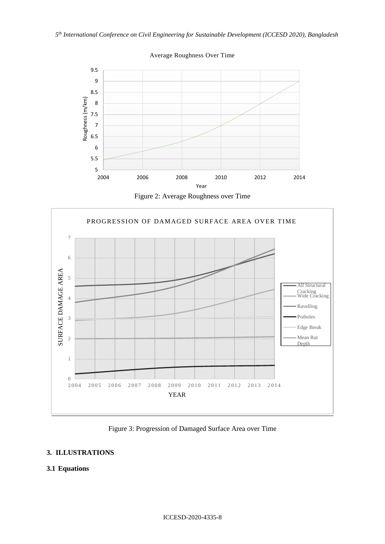*5 th International Conference on Civil Engineering for Sustainable Development (ICCESD 2020), Bangladesh*



Average Roughness Over Time

Figure 2: Average Roughness over Time



Figure 3: Progression of Damaged Surface Area over Time

## **3. ILLUSTRATIONS**

## **3.1 Equations**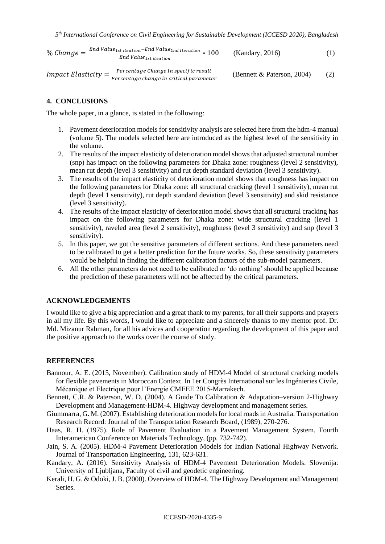$$
\% Change = \frac{End Value_{1st\ iteration} - End Value_{2nd\ iteration}}{End Value_{1st\ iteration}} * 100 \qquad (Kandary, 2016) \qquad (1)
$$

*Import Elasticity* = 
$$
\frac{Percentage \ change \ In \ specific \ result}{Percentage \ change \ in \ critical \ parameter}
$$
 (Bennett & Paterson, 2004) (2)

### **4. CONCLUSIONS**

The whole paper, in a glance, is stated in the following:

- 1. Pavement deterioration models for sensitivity analysis are selected here from the hdm-4 manual (volume 5). The models selected here are introduced as the highest level of the sensitivity in the volume.
- 2. The results of the impact elasticity of deterioration model shows that adjusted structural number (snp) has impact on the following parameters for Dhaka zone: roughness (level 2 sensitivity), mean rut depth (level 3 sensitivity) and rut depth standard deviation (level 3 sensitivity).
- 3. The results of the impact elasticity of deterioration model shows that roughness has impact on the following parameters for Dhaka zone: all structural cracking (level 1 sensitivity), mean rut depth (level 1 sensitivity), rut depth standard deviation (level 3 sensitivity) and skid resistance (level 3 sensitivity).
- 4. The results of the impact elasticity of deterioration model shows that all structural cracking has impact on the following parameters for Dhaka zone: wide structural cracking (level 1 sensitivity), raveled area (level 2 sensitivity), roughness (level 3 sensitivity) and snp (level 3 sensitivity).
- 5. In this paper, we got the sensitive parameters of different sections. And these parameters need to be calibrated to get a better prediction for the future works. So, these sensitivity parameters would be helpful in finding the different calibration factors of the sub-model parameters.
- 6. All the other parameters do not need to be calibrated or 'do nothing' should be applied because the prediction of these parameters will not be affected by the critical parameters.

### **ACKNOWLEDGEMENTS**

I would like to give a big appreciation and a great thank to my parents, for all their supports and prayers in all my life. By this words, I would like to appreciate and a sincerely thanks to my mentor prof. Dr. Md. Mizanur Rahman, for all his advices and cooperation regarding the development of this paper and the positive approach to the works over the course of study.

#### **REFERENCES**

- Bannour, A. E. (2015, November). Calibration study of HDM-4 Model of structural cracking models for flexible pavements in Moroccan Context. In 1er Congrès International sur les Ingénieries Civile, Mécanique et Electrique pour l'Energie CMEEE 2015-Marrakech.
- Bennett, C.R. & Paterson, W. D. (2004). A Guide To Calibration & Adaptation–version 2-Highway Development and Management-HDM-4. Highway development and management series.
- Giummarra, G. M. (2007). Establishing deterioration models for local roads in Australia. Transportation Research Record: Journal of the Transportation Research Board, (1989), 270-276.
- Haas, R. H. (1975). Role of Pavement Evaluation in a Pavement Management System. Fourth Interamerican Conference on Materials Technology, (pp. 732-742).
- Jain, S. A. (2005). HDM-4 Pavement Deterioration Models for Indian National Highway Network. Journal of Transportation Engineering, 131, 623-631.
- Kandary, A. (2016). Sensitivity Analysis of HDM-4 Pavement Deterioration Models. Slovenija: University of Ljubljana, Faculty of civil and geodetic engineering.
- Kerali, H. G. & Odoki, J. B. (2000). Overview of HDM-4. The Highway Development and Management Series.